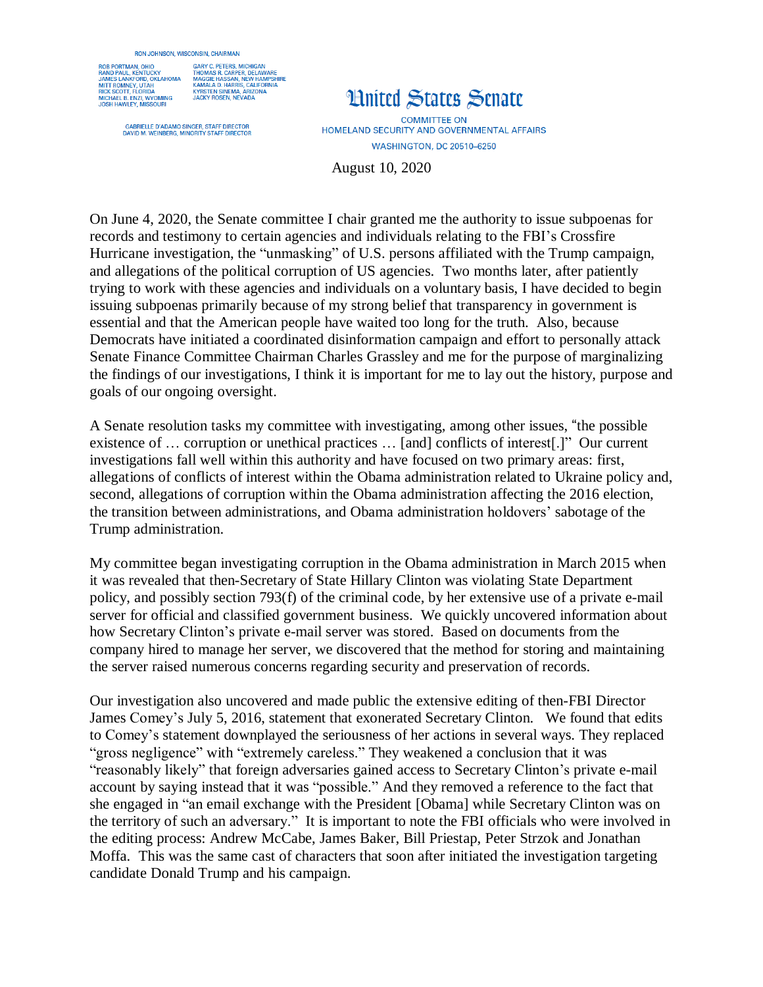## **RON JOHNSON, WISCONSIN, CHAIRMAN**



GARY C. PETERS, MICHIGAN<br>THOMAS R. CARPER, DELAWARE<br>MAGGIE HASSAN, NEW HAMPSH<br>KAMALA D. HARRIS, CALIFORNIA .<br>HIRF **KYRSTEN SINEMA ARIZONA NTRSTEN SINEMA, ANIZI** 

GABRIELLE D'ADAMO SINGER, STAFF DIRECTOR<br>DAVID M. WEINBERG, MINORITY STAFF DIRECTOR

## **Hnited States Senate**

**COMMITTEE ON** HOMELAND SECURITY AND GOVERNMENTAL AFFAIRS **WASHINGTON, DC 20510-6250** 

August 10, 2020

On June 4, 2020, the Senate committee I chair granted me the authority to issue subpoenas for records and testimony to certain agencies and individuals relating to the FBI's Crossfire Hurricane investigation, the "unmasking" of U.S. persons affiliated with the Trump campaign, and allegations of the political corruption of US agencies. Two months later, after patiently trying to work with these agencies and individuals on a voluntary basis, I have decided to begin issuing subpoenas primarily because of my strong belief that transparency in government is essential and that the American people have waited too long for the truth. Also, because Democrats have initiated a coordinated disinformation campaign and effort to personally attack Senate Finance Committee Chairman Charles Grassley and me for the purpose of marginalizing the findings of our investigations, I think it is important for me to lay out the history, purpose and goals of our ongoing oversight.

A Senate resolution tasks my committee with investigating, among other issues, "the possible existence of … corruption or unethical practices … [and] conflicts of interest[.]" Our current investigations fall well within this authority and have focused on two primary areas: first, allegations of conflicts of interest within the Obama administration related to Ukraine policy and, second, allegations of corruption within the Obama administration affecting the 2016 election, the transition between administrations, and Obama administration holdovers' sabotage of the Trump administration.

My committee began investigating corruption in the Obama administration in March 2015 when it was revealed that then-Secretary of State Hillary Clinton was violating State Department policy, and possibly section 793(f) of the criminal code, by her extensive use of a private e-mail server for official and classified government business. We quickly uncovered information about how Secretary Clinton's private e-mail server was stored. Based on documents from the company hired to manage her server, we discovered that the method for storing and maintaining the server raised numerous concerns regarding security and preservation of records.

Our investigation also uncovered and made public the extensive editing of then-FBI Director James Comey's July 5, 2016, statement that exonerated Secretary Clinton. We found that edits to Comey's statement downplayed the seriousness of her actions in several ways. They replaced "gross negligence" with "extremely careless." They weakened a conclusion that it was "reasonably likely" that foreign adversaries gained access to Secretary Clinton's private e-mail account by saying instead that it was "possible." And they removed a reference to the fact that she engaged in "an email exchange with the President [Obama] while Secretary Clinton was on the territory of such an adversary." It is important to note the FBI officials who were involved in the editing process: Andrew McCabe, James Baker, Bill Priestap, Peter Strzok and Jonathan Moffa. This was the same cast of characters that soon after initiated the investigation targeting candidate Donald Trump and his campaign.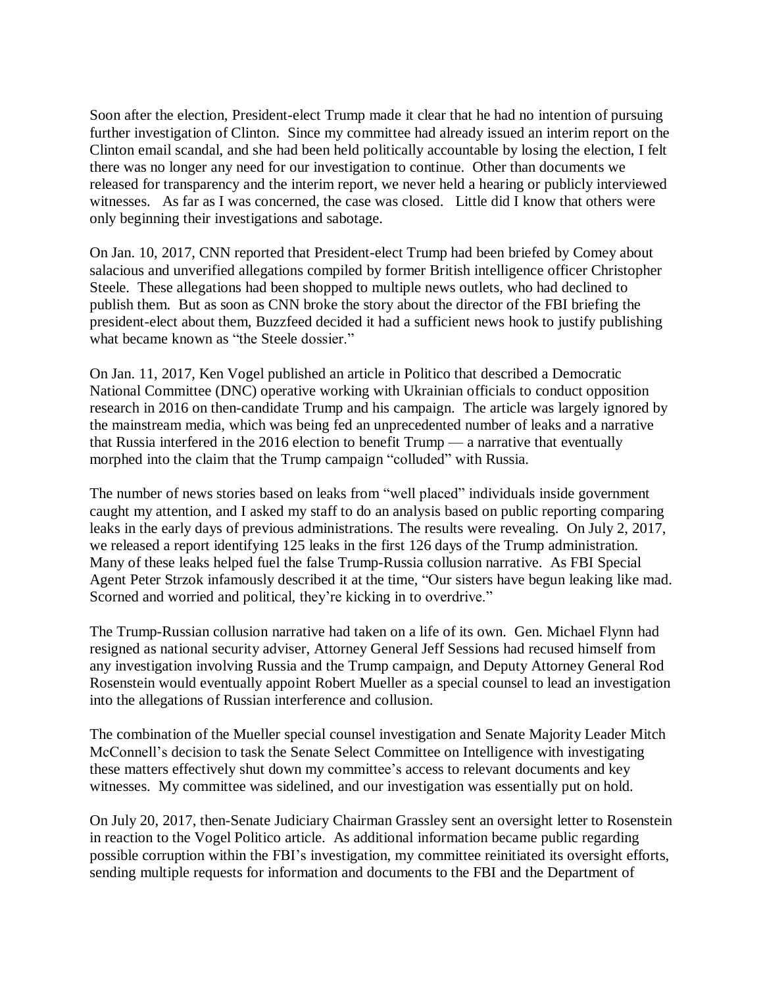Soon after the election, President-elect Trump made it clear that he had no intention of pursuing further investigation of Clinton. Since my committee had already issued an interim report on the Clinton email scandal, and she had been held politically accountable by losing the election, I felt there was no longer any need for our investigation to continue. Other than documents we released for transparency and the interim report, we never held a hearing or publicly interviewed witnesses. As far as I was concerned, the case was closed. Little did I know that others were only beginning their investigations and sabotage.

On Jan. 10, 2017, CNN reported that President-elect Trump had been briefed by Comey about salacious and unverified allegations compiled by former British intelligence officer Christopher Steele. These allegations had been shopped to multiple news outlets, who had declined to publish them. But as soon as CNN broke the story about the director of the FBI briefing the president-elect about them, Buzzfeed decided it had a sufficient news hook to justify publishing what became known as "the Steele dossier."

On Jan. 11, 2017, Ken Vogel published an article in Politico that described a Democratic National Committee (DNC) operative working with Ukrainian officials to conduct opposition research in 2016 on then-candidate Trump and his campaign. The article was largely ignored by the mainstream media, which was being fed an unprecedented number of leaks and a narrative that Russia interfered in the 2016 election to benefit Trump — a narrative that eventually morphed into the claim that the Trump campaign "colluded" with Russia.

The number of news stories based on leaks from "well placed" individuals inside government caught my attention, and I asked my staff to do an analysis based on public reporting comparing leaks in the early days of previous administrations. The results were revealing. On July 2, 2017, we released a report identifying 125 leaks in the first 126 days of the Trump administration. Many of these leaks helped fuel the false Trump-Russia collusion narrative. As FBI Special Agent Peter Strzok infamously described it at the time, "Our sisters have begun leaking like mad. Scorned and worried and political, they're kicking in to overdrive."

The Trump-Russian collusion narrative had taken on a life of its own. Gen. Michael Flynn had resigned as national security adviser, Attorney General Jeff Sessions had recused himself from any investigation involving Russia and the Trump campaign, and Deputy Attorney General Rod Rosenstein would eventually appoint Robert Mueller as a special counsel to lead an investigation into the allegations of Russian interference and collusion.

The combination of the Mueller special counsel investigation and Senate Majority Leader Mitch McConnell's decision to task the Senate Select Committee on Intelligence with investigating these matters effectively shut down my committee's access to relevant documents and key witnesses. My committee was sidelined, and our investigation was essentially put on hold.

On July 20, 2017, then-Senate Judiciary Chairman Grassley sent an oversight letter to Rosenstein in reaction to the Vogel Politico article. As additional information became public regarding possible corruption within the FBI's investigation, my committee reinitiated its oversight efforts, sending multiple requests for information and documents to the FBI and the Department of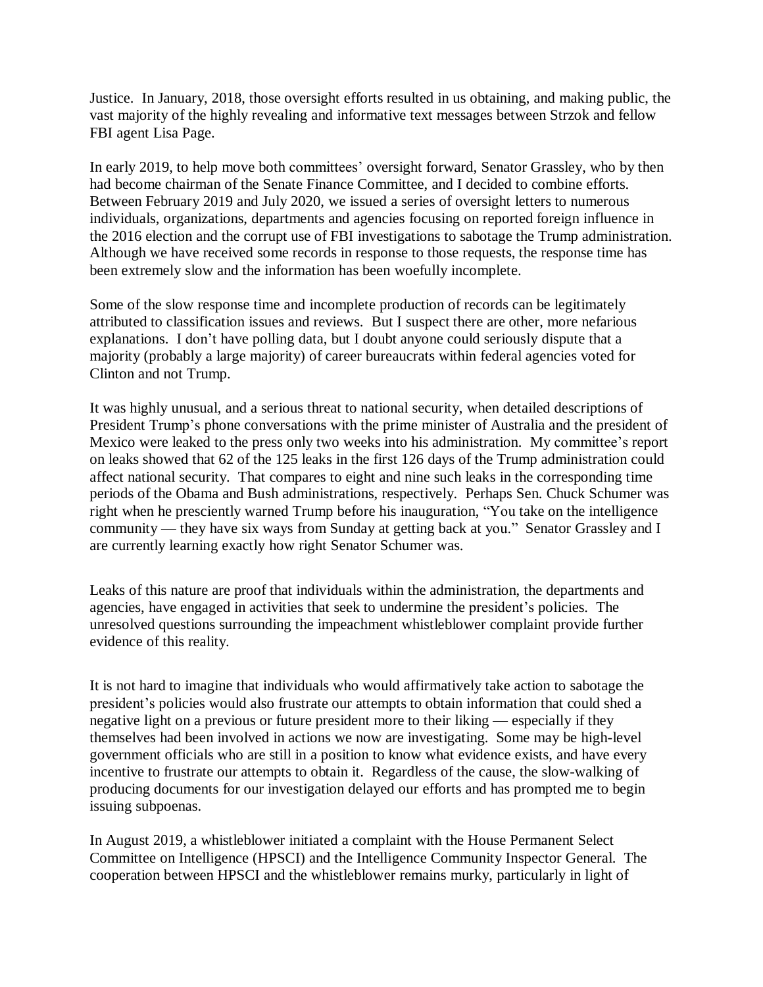Justice. In January, 2018, those oversight efforts resulted in us obtaining, and making public, the vast majority of the highly revealing and informative text messages between Strzok and fellow FBI agent Lisa Page.

In early 2019, to help move both committees' oversight forward, Senator Grassley, who by then had become chairman of the Senate Finance Committee, and I decided to combine efforts. Between February 2019 and July 2020, we issued a series of oversight letters to numerous individuals, organizations, departments and agencies focusing on reported foreign influence in the 2016 election and the corrupt use of FBI investigations to sabotage the Trump administration. Although we have received some records in response to those requests, the response time has been extremely slow and the information has been woefully incomplete.

Some of the slow response time and incomplete production of records can be legitimately attributed to classification issues and reviews. But I suspect there are other, more nefarious explanations. I don't have polling data, but I doubt anyone could seriously dispute that a majority (probably a large majority) of career bureaucrats within federal agencies voted for Clinton and not Trump.

It was highly unusual, and a serious threat to national security, when detailed descriptions of President Trump's phone conversations with the prime minister of Australia and the president of Mexico were leaked to the press only two weeks into his administration. My committee's report on leaks showed that 62 of the 125 leaks in the first 126 days of the Trump administration could affect national security. That compares to eight and nine such leaks in the corresponding time periods of the Obama and Bush administrations, respectively. Perhaps Sen. Chuck Schumer was right when he presciently warned Trump before his inauguration, "You take on the intelligence community — they have six ways from Sunday at getting back at you." Senator Grassley and I are currently learning exactly how right Senator Schumer was.

Leaks of this nature are proof that individuals within the administration, the departments and agencies, have engaged in activities that seek to undermine the president's policies. The unresolved questions surrounding the impeachment whistleblower complaint provide further evidence of this reality.

It is not hard to imagine that individuals who would affirmatively take action to sabotage the president's policies would also frustrate our attempts to obtain information that could shed a negative light on a previous or future president more to their liking — especially if they themselves had been involved in actions we now are investigating. Some may be high-level government officials who are still in a position to know what evidence exists, and have every incentive to frustrate our attempts to obtain it. Regardless of the cause, the slow-walking of producing documents for our investigation delayed our efforts and has prompted me to begin issuing subpoenas.

In August 2019, a whistleblower initiated a complaint with the House Permanent Select Committee on Intelligence (HPSCI) and the Intelligence Community Inspector General. The cooperation between HPSCI and the whistleblower remains murky, particularly in light of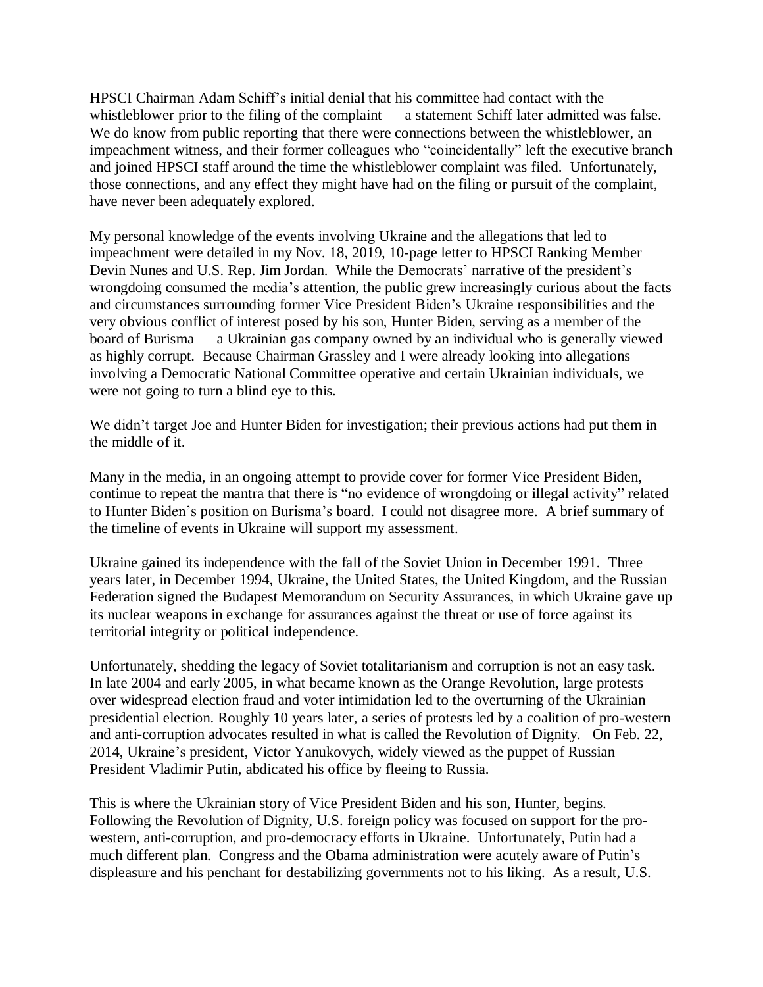HPSCI Chairman Adam Schiff's initial denial that his committee had contact with the whistleblower prior to the filing of the complaint — a statement Schiff later admitted was false. We do know from public reporting that there were connections between the whistleblower, an impeachment witness, and their former colleagues who "coincidentally" left the executive branch and joined HPSCI staff around the time the whistleblower complaint was filed. Unfortunately, those connections, and any effect they might have had on the filing or pursuit of the complaint, have never been adequately explored.

My personal knowledge of the events involving Ukraine and the allegations that led to impeachment were detailed in my Nov. 18, 2019, 10-page letter to HPSCI Ranking Member Devin Nunes and U.S. Rep. Jim Jordan. While the Democrats' narrative of the president's wrongdoing consumed the media's attention, the public grew increasingly curious about the facts and circumstances surrounding former Vice President Biden's Ukraine responsibilities and the very obvious conflict of interest posed by his son, Hunter Biden, serving as a member of the board of Burisma — a Ukrainian gas company owned by an individual who is generally viewed as highly corrupt. Because Chairman Grassley and I were already looking into allegations involving a Democratic National Committee operative and certain Ukrainian individuals, we were not going to turn a blind eye to this.

We didn't target Joe and Hunter Biden for investigation; their previous actions had put them in the middle of it.

Many in the media, in an ongoing attempt to provide cover for former Vice President Biden, continue to repeat the mantra that there is "no evidence of wrongdoing or illegal activity" related to Hunter Biden's position on Burisma's board. I could not disagree more. A brief summary of the timeline of events in Ukraine will support my assessment.

Ukraine gained its independence with the fall of the Soviet Union in December 1991. Three years later, in December 1994, Ukraine, the United States, the United Kingdom, and the Russian Federation signed the Budapest Memorandum on Security Assurances, in which Ukraine gave up its nuclear weapons in exchange for assurances against the threat or use of force against its territorial integrity or political independence.

Unfortunately, shedding the legacy of Soviet totalitarianism and corruption is not an easy task. In late 2004 and early 2005, in what became known as the Orange Revolution, large protests over widespread election fraud and voter intimidation led to the overturning of the Ukrainian presidential election. Roughly 10 years later, a series of protests led by a coalition of pro-western and anti-corruption advocates resulted in what is called the Revolution of Dignity. On Feb. 22, 2014, Ukraine's president, Victor Yanukovych, widely viewed as the puppet of Russian President Vladimir Putin, abdicated his office by fleeing to Russia.

This is where the Ukrainian story of Vice President Biden and his son, Hunter, begins. Following the Revolution of Dignity, U.S. foreign policy was focused on support for the prowestern, anti-corruption, and pro-democracy efforts in Ukraine. Unfortunately, Putin had a much different plan. Congress and the Obama administration were acutely aware of Putin's displeasure and his penchant for destabilizing governments not to his liking. As a result, U.S.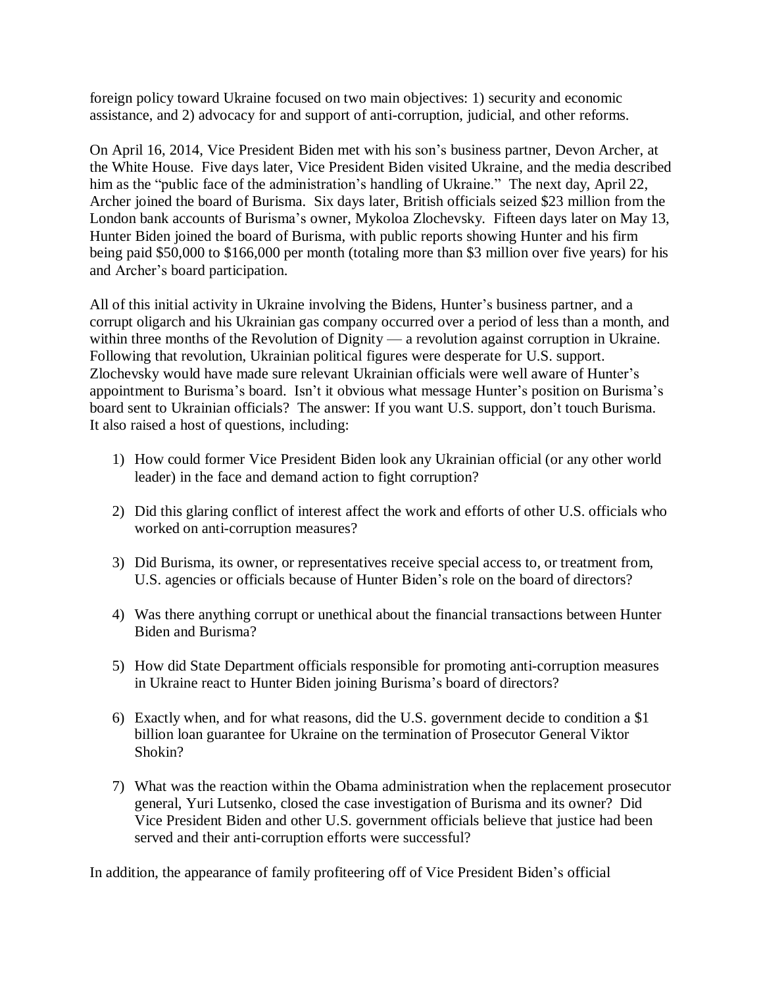foreign policy toward Ukraine focused on two main objectives: 1) security and economic assistance, and 2) advocacy for and support of anti-corruption, judicial, and other reforms.

On April 16, 2014, Vice President Biden met with his son's business partner, Devon Archer, at the White House. Five days later, Vice President Biden visited Ukraine, and the media described him as the "public face of the administration's handling of Ukraine." The next day, April 22, Archer joined the board of Burisma. Six days later, British officials seized \$23 million from the London bank accounts of Burisma's owner, Mykoloa Zlochevsky. Fifteen days later on May 13, Hunter Biden joined the board of Burisma, with public reports showing Hunter and his firm being paid \$50,000 to \$166,000 per month (totaling more than \$3 million over five years) for his and Archer's board participation.

All of this initial activity in Ukraine involving the Bidens, Hunter's business partner, and a corrupt oligarch and his Ukrainian gas company occurred over a period of less than a month, and within three months of the Revolution of Dignity — a revolution against corruption in Ukraine. Following that revolution, Ukrainian political figures were desperate for U.S. support. Zlochevsky would have made sure relevant Ukrainian officials were well aware of Hunter's appointment to Burisma's board. Isn't it obvious what message Hunter's position on Burisma's board sent to Ukrainian officials? The answer: If you want U.S. support, don't touch Burisma. It also raised a host of questions, including:

- 1) How could former Vice President Biden look any Ukrainian official (or any other world leader) in the face and demand action to fight corruption?
- 2) Did this glaring conflict of interest affect the work and efforts of other U.S. officials who worked on anti-corruption measures?
- 3) Did Burisma, its owner, or representatives receive special access to, or treatment from, U.S. agencies or officials because of Hunter Biden's role on the board of directors?
- 4) Was there anything corrupt or unethical about the financial transactions between Hunter Biden and Burisma?
- 5) How did State Department officials responsible for promoting anti-corruption measures in Ukraine react to Hunter Biden joining Burisma's board of directors?
- 6) Exactly when, and for what reasons, did the U.S. government decide to condition a \$1 billion loan guarantee for Ukraine on the termination of Prosecutor General Viktor Shokin?
- 7) What was the reaction within the Obama administration when the replacement prosecutor general, Yuri Lutsenko, closed the case investigation of Burisma and its owner? Did Vice President Biden and other U.S. government officials believe that justice had been served and their anti-corruption efforts were successful?

In addition, the appearance of family profiteering off of Vice President Biden's official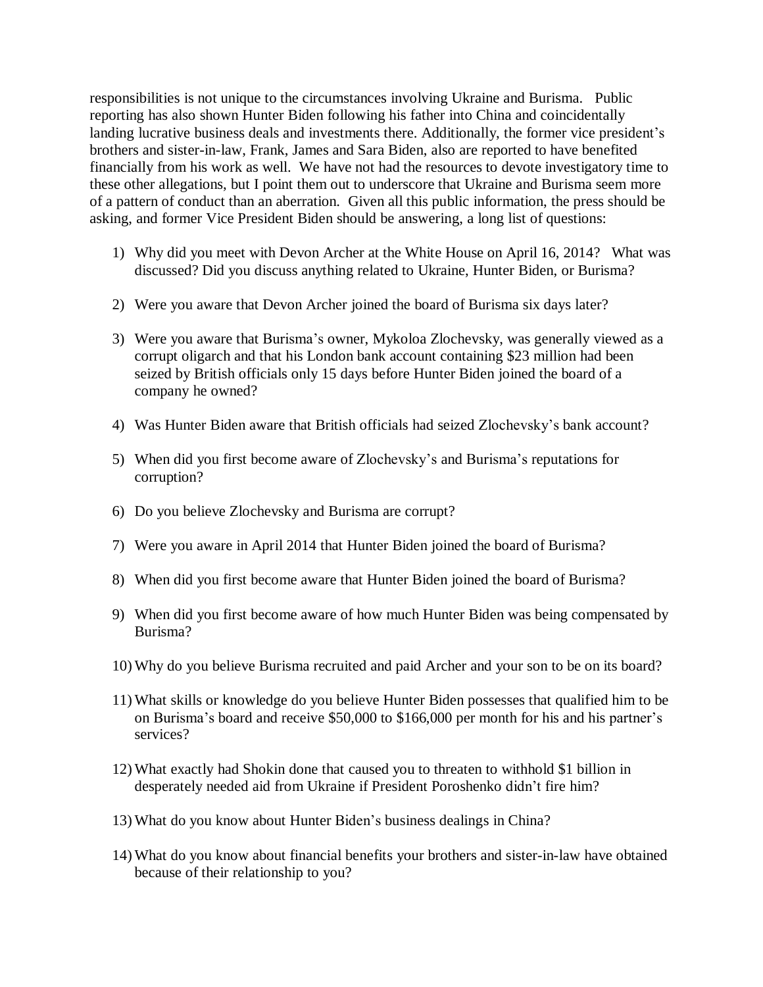responsibilities is not unique to the circumstances involving Ukraine and Burisma. Public reporting has also shown Hunter Biden following his father into China and coincidentally landing lucrative business deals and investments there. Additionally, the former vice president's brothers and sister-in-law, Frank, James and Sara Biden, also are reported to have benefited financially from his work as well. We have not had the resources to devote investigatory time to these other allegations, but I point them out to underscore that Ukraine and Burisma seem more of a pattern of conduct than an aberration. Given all this public information, the press should be asking, and former Vice President Biden should be answering, a long list of questions:

- 1) Why did you meet with Devon Archer at the White House on April 16, 2014? What was discussed? Did you discuss anything related to Ukraine, Hunter Biden, or Burisma?
- 2) Were you aware that Devon Archer joined the board of Burisma six days later?
- 3) Were you aware that Burisma's owner, Mykoloa Zlochevsky, was generally viewed as a corrupt oligarch and that his London bank account containing \$23 million had been seized by British officials only 15 days before Hunter Biden joined the board of a company he owned?
- 4) Was Hunter Biden aware that British officials had seized Zlochevsky's bank account?
- 5) When did you first become aware of Zlochevsky's and Burisma's reputations for corruption?
- 6) Do you believe Zlochevsky and Burisma are corrupt?
- 7) Were you aware in April 2014 that Hunter Biden joined the board of Burisma?
- 8) When did you first become aware that Hunter Biden joined the board of Burisma?
- 9) When did you first become aware of how much Hunter Biden was being compensated by Burisma?
- 10) Why do you believe Burisma recruited and paid Archer and your son to be on its board?
- 11) What skills or knowledge do you believe Hunter Biden possesses that qualified him to be on Burisma's board and receive \$50,000 to \$166,000 per month for his and his partner's services?
- 12) What exactly had Shokin done that caused you to threaten to withhold \$1 billion in desperately needed aid from Ukraine if President Poroshenko didn't fire him?
- 13) What do you know about Hunter Biden's business dealings in China?
- 14) What do you know about financial benefits your brothers and sister-in-law have obtained because of their relationship to you?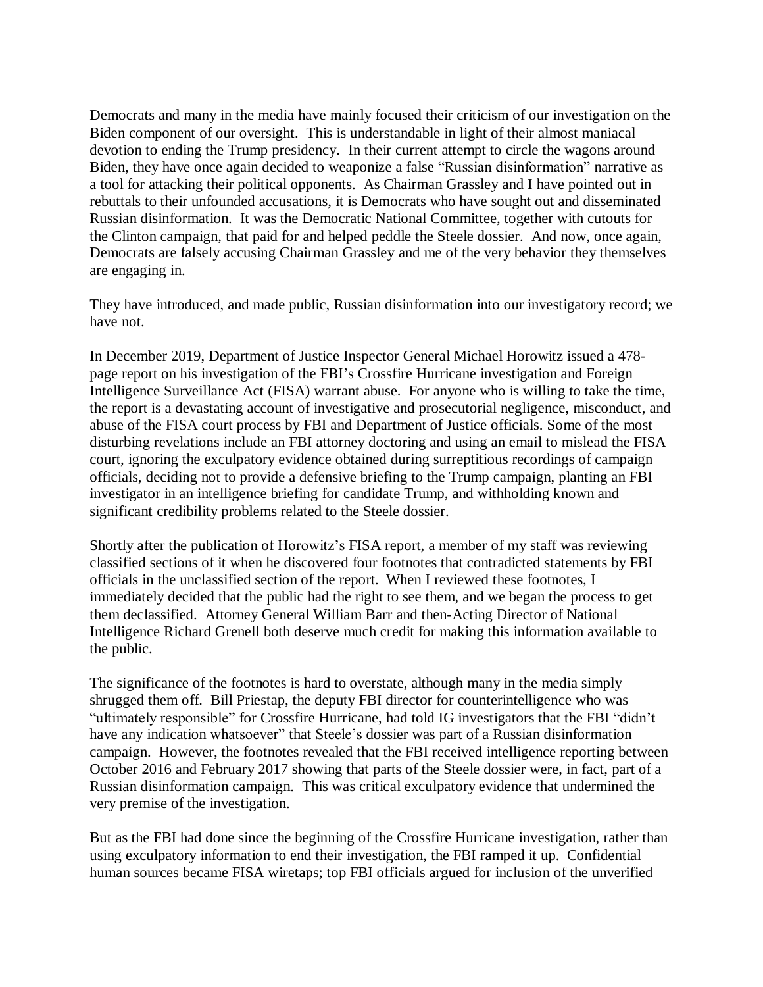Democrats and many in the media have mainly focused their criticism of our investigation on the Biden component of our oversight. This is understandable in light of their almost maniacal devotion to ending the Trump presidency. In their current attempt to circle the wagons around Biden, they have once again decided to weaponize a false "Russian disinformation" narrative as a tool for attacking their political opponents. As Chairman Grassley and I have pointed out in rebuttals to their unfounded accusations, it is Democrats who have sought out and disseminated Russian disinformation. It was the Democratic National Committee, together with cutouts for the Clinton campaign, that paid for and helped peddle the Steele dossier. And now, once again, Democrats are falsely accusing Chairman Grassley and me of the very behavior they themselves are engaging in.

They have introduced, and made public, Russian disinformation into our investigatory record; we have not.

In December 2019, Department of Justice Inspector General Michael Horowitz issued a 478 page report on his investigation of the FBI's Crossfire Hurricane investigation and Foreign Intelligence Surveillance Act (FISA) warrant abuse. For anyone who is willing to take the time, the report is a devastating account of investigative and prosecutorial negligence, misconduct, and abuse of the FISA court process by FBI and Department of Justice officials. Some of the most disturbing revelations include an FBI attorney doctoring and using an email to mislead the FISA court, ignoring the exculpatory evidence obtained during surreptitious recordings of campaign officials, deciding not to provide a defensive briefing to the Trump campaign, planting an FBI investigator in an intelligence briefing for candidate Trump, and withholding known and significant credibility problems related to the Steele dossier.

Shortly after the publication of Horowitz's FISA report, a member of my staff was reviewing classified sections of it when he discovered four footnotes that contradicted statements by FBI officials in the unclassified section of the report. When I reviewed these footnotes, I immediately decided that the public had the right to see them, and we began the process to get them declassified. Attorney General William Barr and then-Acting Director of National Intelligence Richard Grenell both deserve much credit for making this information available to the public.

The significance of the footnotes is hard to overstate, although many in the media simply shrugged them off. Bill Priestap, the deputy FBI director for counterintelligence who was "ultimately responsible" for Crossfire Hurricane, had told IG investigators that the FBI "didn't have any indication whatsoever" that Steele's dossier was part of a Russian disinformation campaign. However, the footnotes revealed that the FBI received intelligence reporting between October 2016 and February 2017 showing that parts of the Steele dossier were, in fact, part of a Russian disinformation campaign. This was critical exculpatory evidence that undermined the very premise of the investigation.

But as the FBI had done since the beginning of the Crossfire Hurricane investigation, rather than using exculpatory information to end their investigation, the FBI ramped it up. Confidential human sources became FISA wiretaps; top FBI officials argued for inclusion of the unverified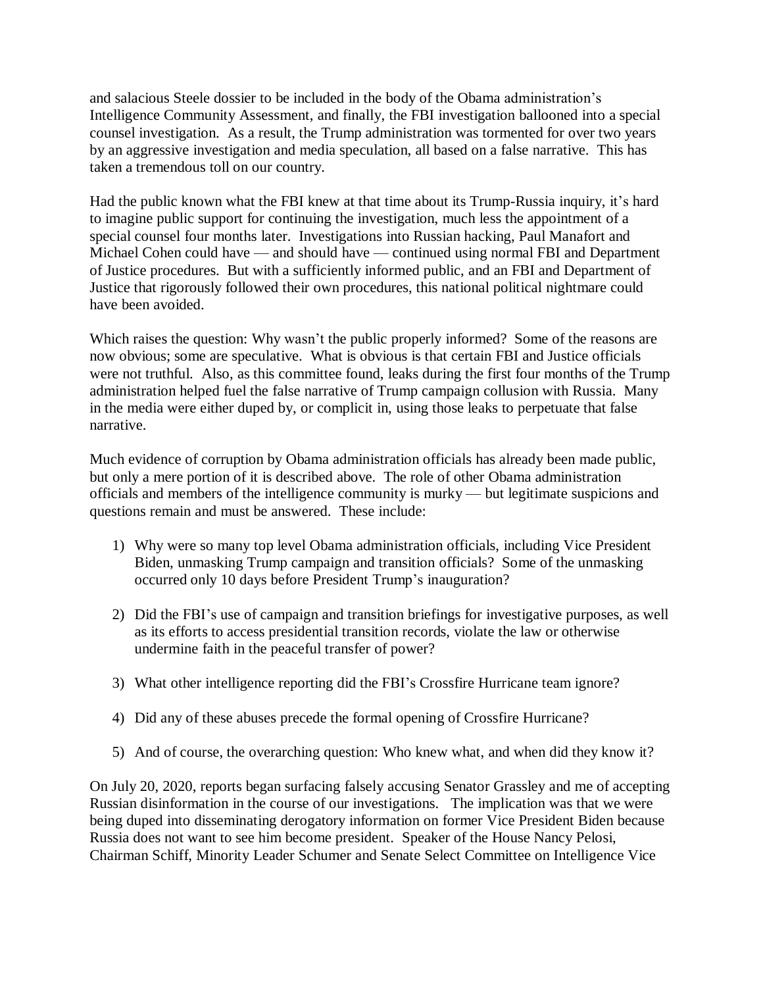and salacious Steele dossier to be included in the body of the Obama administration's Intelligence Community Assessment, and finally, the FBI investigation ballooned into a special counsel investigation. As a result, the Trump administration was tormented for over two years by an aggressive investigation and media speculation, all based on a false narrative. This has taken a tremendous toll on our country.

Had the public known what the FBI knew at that time about its Trump-Russia inquiry, it's hard to imagine public support for continuing the investigation, much less the appointment of a special counsel four months later. Investigations into Russian hacking, Paul Manafort and Michael Cohen could have — and should have — continued using normal FBI and Department of Justice procedures. But with a sufficiently informed public, and an FBI and Department of Justice that rigorously followed their own procedures, this national political nightmare could have been avoided.

Which raises the question: Why wasn't the public properly informed? Some of the reasons are now obvious; some are speculative. What is obvious is that certain FBI and Justice officials were not truthful. Also, as this committee found, leaks during the first four months of the Trump administration helped fuel the false narrative of Trump campaign collusion with Russia. Many in the media were either duped by, or complicit in, using those leaks to perpetuate that false narrative.

Much evidence of corruption by Obama administration officials has already been made public, but only a mere portion of it is described above. The role of other Obama administration officials and members of the intelligence community is murky — but legitimate suspicions and questions remain and must be answered. These include:

- 1) Why were so many top level Obama administration officials, including Vice President Biden, unmasking Trump campaign and transition officials? Some of the unmasking occurred only 10 days before President Trump's inauguration?
- 2) Did the FBI's use of campaign and transition briefings for investigative purposes, as well as its efforts to access presidential transition records, violate the law or otherwise undermine faith in the peaceful transfer of power?
- 3) What other intelligence reporting did the FBI's Crossfire Hurricane team ignore?
- 4) Did any of these abuses precede the formal opening of Crossfire Hurricane?
- 5) And of course, the overarching question: Who knew what, and when did they know it?

On July 20, 2020, reports began surfacing falsely accusing Senator Grassley and me of accepting Russian disinformation in the course of our investigations. The implication was that we were being duped into disseminating derogatory information on former Vice President Biden because Russia does not want to see him become president. Speaker of the House Nancy Pelosi, Chairman Schiff, Minority Leader Schumer and Senate Select Committee on Intelligence Vice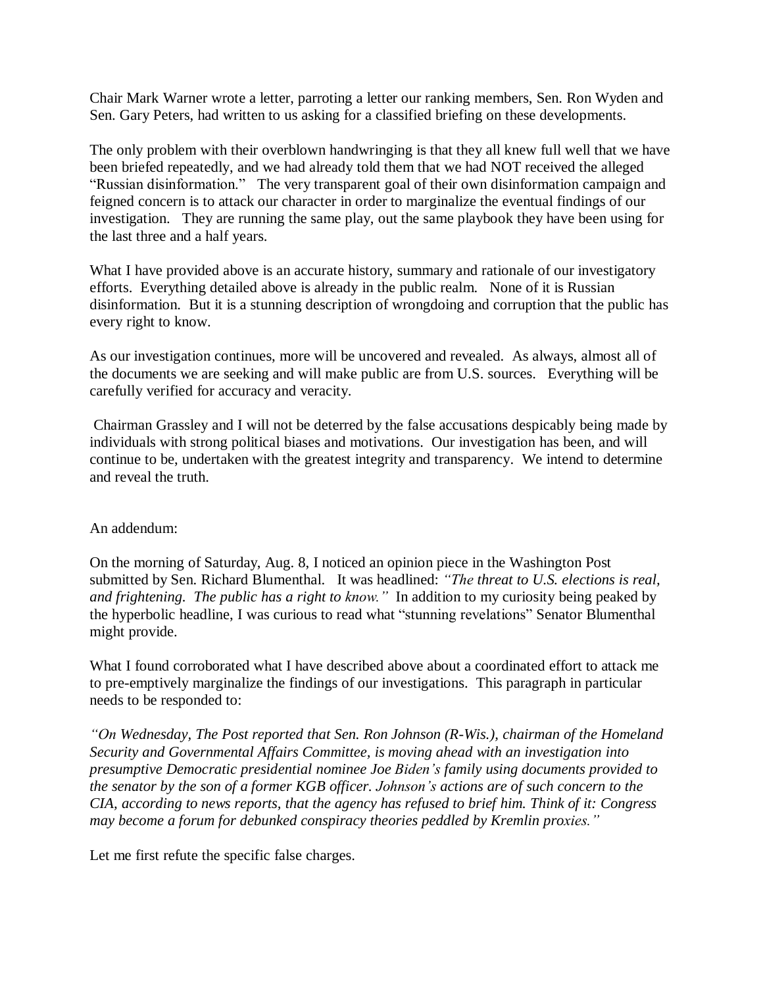Chair Mark Warner wrote a letter, parroting a letter our ranking members, Sen. Ron Wyden and Sen. Gary Peters, had written to us asking for a classified briefing on these developments.

The only problem with their overblown handwringing is that they all knew full well that we have been briefed repeatedly, and we had already told them that we had NOT received the alleged "Russian disinformation." The very transparent goal of their own disinformation campaign and feigned concern is to attack our character in order to marginalize the eventual findings of our investigation. They are running the same play, out the same playbook they have been using for the last three and a half years.

What I have provided above is an accurate history, summary and rationale of our investigatory efforts. Everything detailed above is already in the public realm. None of it is Russian disinformation. But it is a stunning description of wrongdoing and corruption that the public has every right to know.

As our investigation continues, more will be uncovered and revealed. As always, almost all of the documents we are seeking and will make public are from U.S. sources. Everything will be carefully verified for accuracy and veracity.

Chairman Grassley and I will not be deterred by the false accusations despicably being made by individuals with strong political biases and motivations. Our investigation has been, and will continue to be, undertaken with the greatest integrity and transparency. We intend to determine and reveal the truth.

## An addendum:

On the morning of Saturday, Aug. 8, I noticed an opinion piece in the Washington Post submitted by Sen. Richard Blumenthal. It was headlined: *"The threat to U.S. elections is real, and frightening. The public has a right to know."* In addition to my curiosity being peaked by the hyperbolic headline, I was curious to read what "stunning revelations" Senator Blumenthal might provide.

What I found corroborated what I have described above about a coordinated effort to attack me to pre-emptively marginalize the findings of our investigations. This paragraph in particular needs to be responded to:

*"On Wednesday, The Post reported that Sen. Ron Johnson (R-Wis.), chairman of the Homeland Security and Governmental Affairs Committee, is moving ahead with an investigation into presumptive Democratic presidential nominee Joe Biden's family using documents provided to the senator by the son of a former KGB officer. Johnson's actions are of such concern to the CIA, according to news reports, that the agency has refused to brief him. Think of it: Congress may become a forum for debunked conspiracy theories peddled by Kremlin proxies."*

Let me first refute the specific false charges.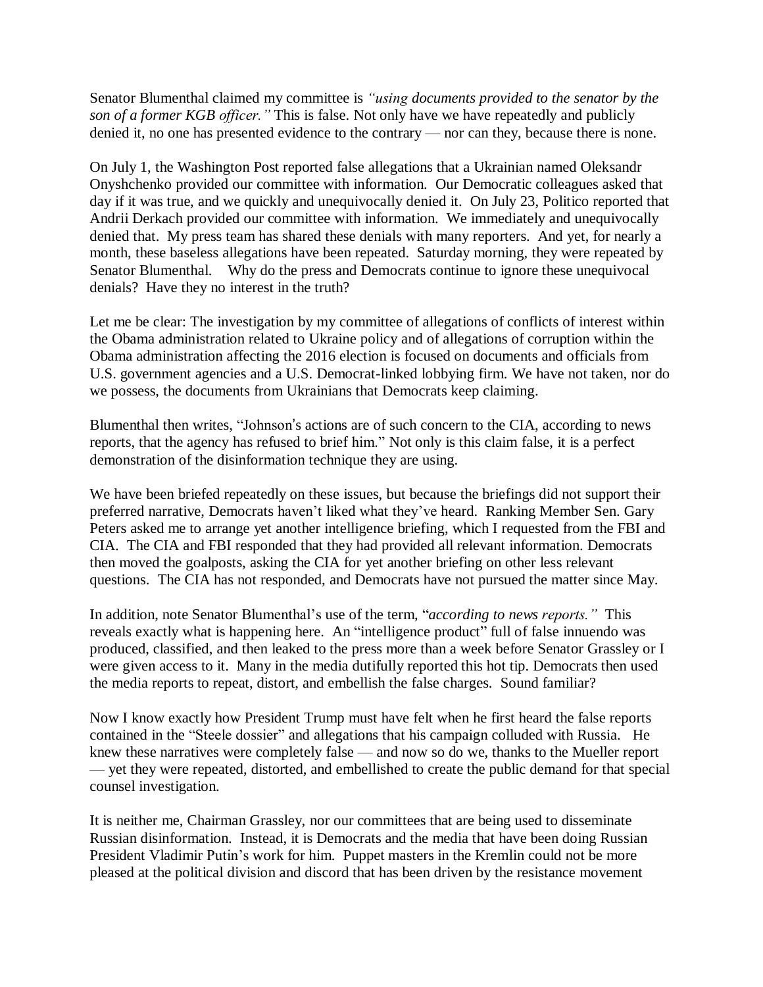Senator Blumenthal claimed my committee is *"using documents provided to the senator by the son of a former KGB officer."* This is false. Not only have we have repeatedly and publicly denied it, no one has presented evidence to the contrary — nor can they, because there is none.

On July 1, the Washington Post reported false allegations that a Ukrainian named Oleksandr Onyshchenko provided our committee with information. Our Democratic colleagues asked that day if it was true, and we quickly and unequivocally denied it. On July 23, Politico reported that Andrii Derkach provided our committee with information. We immediately and unequivocally denied that. My press team has shared these denials with many reporters. And yet, for nearly a month, these baseless allegations have been repeated. Saturday morning, they were repeated by Senator Blumenthal. Why do the press and Democrats continue to ignore these unequivocal denials? Have they no interest in the truth?

Let me be clear: The investigation by my committee of allegations of conflicts of interest within the Obama administration related to Ukraine policy and of allegations of corruption within the Obama administration affecting the 2016 election is focused on documents and officials from U.S. government agencies and a U.S. Democrat-linked lobbying firm. We have not taken, nor do we possess, the documents from Ukrainians that Democrats keep claiming.

Blumenthal then writes, "Johnson's actions are of such concern to the CIA, according to news reports, that the agency has refused to brief him." Not only is this claim false, it is a perfect demonstration of the disinformation technique they are using.

We have been briefed repeatedly on these issues, but because the briefings did not support their preferred narrative, Democrats haven't liked what they've heard. Ranking Member Sen. Gary Peters asked me to arrange yet another intelligence briefing, which I requested from the FBI and CIA. The CIA and FBI responded that they had provided all relevant information. Democrats then moved the goalposts, asking the CIA for yet another briefing on other less relevant questions. The CIA has not responded, and Democrats have not pursued the matter since May.

In addition, note Senator Blumenthal's use of the term, "*according to news reports."* This reveals exactly what is happening here. An "intelligence product" full of false innuendo was produced, classified, and then leaked to the press more than a week before Senator Grassley or I were given access to it. Many in the media dutifully reported this hot tip. Democrats then used the media reports to repeat, distort, and embellish the false charges. Sound familiar?

Now I know exactly how President Trump must have felt when he first heard the false reports contained in the "Steele dossier" and allegations that his campaign colluded with Russia. He knew these narratives were completely false — and now so do we, thanks to the Mueller report — yet they were repeated, distorted, and embellished to create the public demand for that special counsel investigation.

It is neither me, Chairman Grassley, nor our committees that are being used to disseminate Russian disinformation. Instead, it is Democrats and the media that have been doing Russian President Vladimir Putin's work for him. Puppet masters in the Kremlin could not be more pleased at the political division and discord that has been driven by the resistance movement